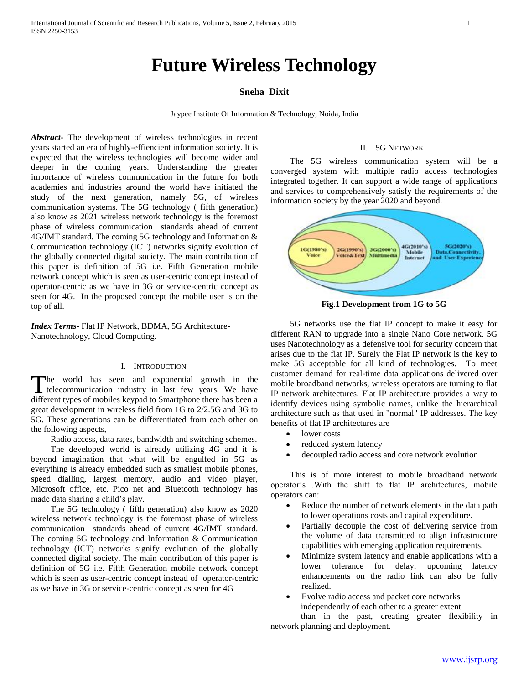# **Future Wireless Technology**

# **Sneha Dixit**

Jaypee Institute Of Information & Technology, Noida, India

*Abstract***-** The development of wireless technologies in recent years started an era of highly-effiencient information society. It is expected that the wireless technologies will become wider and deeper in the coming years. Understanding the greater importance of wireless communication in the future for both academies and industries around the world have initiated the study of the next generation, namely 5G, of wireless communication systems. The 5G technology ( fifth generation) also know as 2021 wireless network technology is the foremost phase of wireless communication standards ahead of current 4G/IMT standard. The coming 5G technology and Information & Communication technology (ICT) networks signify evolution of the globally connected digital society. The main contribution of this paper is definition of 5G i.e. Fifth Generation mobile network concept which is seen as user-centric concept instead of operator-centric as we have in 3G or service-centric concept as seen for 4G. In the proposed concept the mobile user is on the top of all.

*Index Terms*- Flat IP Network, BDMA, 5G Architecture-Nanotechnology, Cloud Computing.

# I. INTRODUCTION

he world has seen and exponential growth in the The world has seen and exponential growth in the telecommunication industry in last few years. We have different types of mobiles keypad to Smartphone there has been a great development in wireless field from 1G to 2/2.5G and 3G to 5G. These generations can be differentiated from each other on the following aspects,

Radio access, data rates, bandwidth and switching schemes.

 The developed world is already utilizing 4G and it is beyond imagination that what will be engulfed in 5G as everything is already embedded such as smallest mobile phones, speed dialling, largest memory, audio and video player, Microsoft office, etc. Pico net and Bluetooth technology has made data sharing a child's play.

 The 5G technology ( fifth generation) also know as 2020 wireless network technology is the foremost phase of wireless communication standards ahead of current 4G/IMT standard. The coming 5G technology and Information & Communication technology (ICT) networks signify evolution of the globally connected digital society. The main contribution of this paper is definition of 5G i.e. Fifth Generation mobile network concept which is seen as user-centric concept instead of operator-centric as we have in 3G or service-centric concept as seen for 4G

## II. 5G NETWORK

 The 5G wireless communication system will be a converged system with multiple radio access technologies integrated together. It can support a wide range of applications and services to comprehensively satisfy the requirements of the information society by the year 2020 and beyond.



**Fig.1 Development from 1G to 5G**

 5G networks use the flat IP concept to make it easy for different RAN to upgrade into a single Nano Core network. 5G uses Nanotechnology as a defensive tool for security concern that arises due to the flat IP. Surely the Flat IP network is the key to make 5G acceptable for all kind of technologies. To meet customer demand for real-time data applications delivered over mobile broadband networks, wireless operators are turning to flat IP network architectures. Flat IP architecture provides a way to identify devices using symbolic names, unlike the hierarchical architecture such as that used in "normal" IP addresses. The key benefits of flat IP architectures are

- lower costs
- reduced system latency
- decoupled radio access and core network evolution

 This is of more interest to mobile broadband network operator's .With the shift to flat IP architectures, mobile operators can:

- Reduce the number of network elements in the data path to lower operations costs and capital expenditure.
- Partially decouple the cost of delivering service from the volume of data transmitted to align infrastructure capabilities with emerging application requirements.
- Minimize system latency and enable applications with a lower tolerance for delay; upcoming latency enhancements on the radio link can also be fully realized.
- Evolve radio access and packet core networks independently of each other to a greater extent than in the past, creating greater flexibility in

network planning and deployment.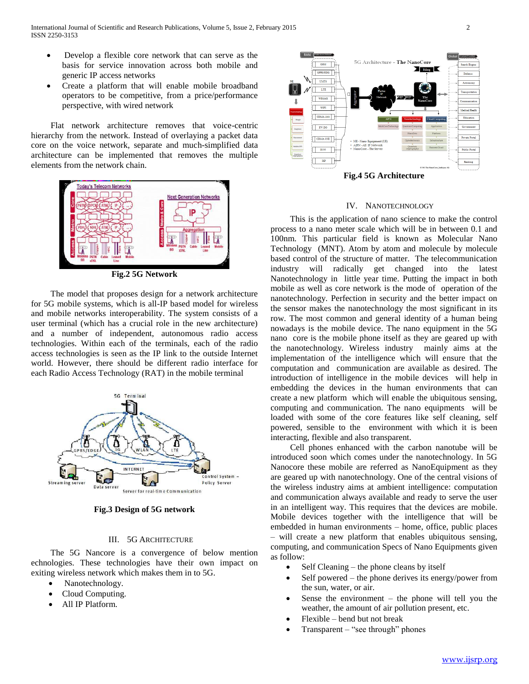- Develop a flexible core network that can serve as the basis for service innovation across both mobile and generic IP access networks
- Create a platform that will enable mobile broadband operators to be competitive, from a price/performance perspective, with wired network

 Flat network architecture removes that voice-centric hierarchy from the network. Instead of overlaying a packet data core on the voice network, separate and much-simplified data architecture can be implemented that removes the multiple elements from the network chain.



**Fig.2 5G Network**

 The model that proposes design for a network architecture for 5G mobile systems, which is all-IP based model for wireless and mobile networks interoperability. The system consists of a user terminal (which has a crucial role in the new architecture) and a number of independent, autonomous radio access technologies. Within each of the terminals, each of the radio access technologies is seen as the IP link to the outside Internet world. However, there should be different radio interface for each Radio Access Technology (RAT) in the mobile terminal



**Fig.3 Design of 5G network**

# III. 5G ARCHITECTURE

 The 5G Nancore is a convergence of below mention echnologies. These technologies have their own impact on exiting wireless network which makes them in to 5G.

- Nanotechnology.
- Cloud Computing.
- All IP Platform.



**Fig.4 5G Architecture**

## IV. NANOTECHNOLOGY

 This is the application of nano science to make the control process to a nano meter scale which will be in between 0.1 and 100nm. This particular field is known as Molecular Nano Technology (MNT). Atom by atom and molecule by molecule based control of the structure of matter. The telecommunication industry will radically get changed into the latest Nanotechnology in little year time. Putting the impact in both mobile as well as core network is the mode of operation of the nanotechnology. Perfection in security and the better impact on the sensor makes the nanotechnology the most significant in its row. The most common and general identity of a human being nowadays is the mobile device. The nano equipment in the 5G nano core is the mobile phone itself as they are geared up with the nanotechnology. Wireless industry mainly aims at the implementation of the intelligence which will ensure that the computation and communication are available as desired. The introduction of intelligence in the mobile devices will help in embedding the devices in the human environments that can create a new platform which will enable the ubiquitous sensing, computing and communication. The nano equipments will be loaded with some of the core features like self cleaning, self powered, sensible to the environment with which it is been interacting, flexible and also transparent.

 Cell phones enhanced with the carbon nanotube will be introduced soon which comes under the nanotechnology. In 5G Nanocore these mobile are referred as NanoEquipment as they are geared up with nanotechnology. One of the central visions of the wireless industry aims at ambient intelligence: computation and communication always available and ready to serve the user in an intelligent way. This requires that the devices are mobile. Mobile devices together with the intelligence that will be embedded in human environments – home, office, public places – will create a new platform that enables ubiquitous sensing, computing, and communication Specs of Nano Equipments given as follow:

- Self Cleaning the phone cleans by itself
- Self powered the phone derives its energy/power from the sun, water, or air.
- Sense the environment the phone will tell you the weather, the amount of air pollution present, etc.
- Flexible bend but not break
- Transparent "see through" phones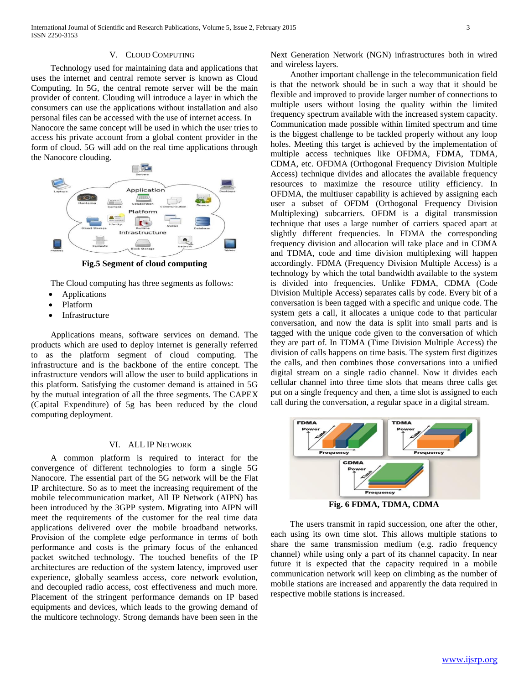Technology used for maintaining data and applications that uses the internet and central remote server is known as Cloud Computing. In 5G, the central remote server will be the main provider of content. Clouding will introduce a layer in which the consumers can use the applications without installation and also personal files can be accessed with the use of internet access. In Nanocore the same concept will be used in which the user tries to access his private account from a global content provider in the form of cloud. 5G will add on the real time applications through the Nanocore clouding.



**Fig.5 Segment of cloud computing**

The Cloud computing has three segments as follows:

- Applications
- Platform
- Infrastructure

 Applications means, software services on demand. The products which are used to deploy internet is generally referred to as the platform segment of cloud computing. The infrastructure and is the backbone of the entire concept. The infrastructure vendors will allow the user to build applications in this platform. Satisfying the customer demand is attained in 5G by the mutual integration of all the three segments. The CAPEX (Capital Expenditure) of 5g has been reduced by the cloud computing deployment.

# VI. ALL IP NETWORK

 A common platform is required to interact for the convergence of different technologies to form a single 5G Nanocore. The essential part of the 5G network will be the Flat IP architecture. So as to meet the increasing requirement of the mobile telecommunication market, All IP Network (AIPN) has been introduced by the 3GPP system. Migrating into AIPN will meet the requirements of the customer for the real time data applications delivered over the mobile broadband networks. Provision of the complete edge performance in terms of both performance and costs is the primary focus of the enhanced packet switched technology. The touched benefits of the IP architectures are reduction of the system latency, improved user experience, globally seamless access, core network evolution, and decoupled radio access, cost effectiveness and much more. Placement of the stringent performance demands on IP based equipments and devices, which leads to the growing demand of the multicore technology. Strong demands have been seen in the

Next Generation Network (NGN) infrastructures both in wired and wireless layers.

 Another important challenge in the telecommunication field is that the network should be in such a way that it should be flexible and improved to provide larger number of connections to multiple users without losing the quality within the limited frequency spectrum available with the increased system capacity. Communication made possible within limited spectrum and time is the biggest challenge to be tackled properly without any loop holes. Meeting this target is achieved by the implementation of multiple access techniques like OFDMA, FDMA, TDMA, CDMA, etc. OFDMA (Orthogonal Frequency Division Multiple Access) technique divides and allocates the available frequency resources to maximize the resource utility efficiency. In OFDMA, the multiuser capability is achieved by assigning each user a subset of OFDM (Orthogonal Frequency Division Multiplexing) subcarriers. OFDM is a digital transmission technique that uses a large number of carriers spaced apart at slightly different frequencies. In FDMA the corresponding frequency division and allocation will take place and in CDMA and TDMA, code and time division multiplexing will happen accordingly. FDMA (Frequency Division Multiple Access) is a technology by which the total bandwidth available to the system is divided into frequencies. Unlike FDMA, CDMA (Code Division Multiple Access) separates calls by code. Every bit of a conversation is been tagged with a specific and unique code. The system gets a call, it allocates a unique code to that particular conversation, and now the data is split into small parts and is tagged with the unique code given to the conversation of which they are part of. In TDMA (Time Division Multiple Access) the division of calls happens on time basis. The system first digitizes the calls, and then combines those conversations into a unified digital stream on a single radio channel. Now it divides each cellular channel into three time slots that means three calls get put on a single frequency and then, a time slot is assigned to each call during the conversation, a regular space in a digital stream.



**Fig. 6 FDMA, TDMA, CDMA**

 The users transmit in rapid succession, one after the other, each using its own time slot. This allows multiple stations to share the same transmission medium (e.g. radio frequency channel) while using only a part of its channel capacity. In near future it is expected that the capacity required in a mobile communication network will keep on climbing as the number of mobile stations are increased and apparently the data required in respective mobile stations is increased.